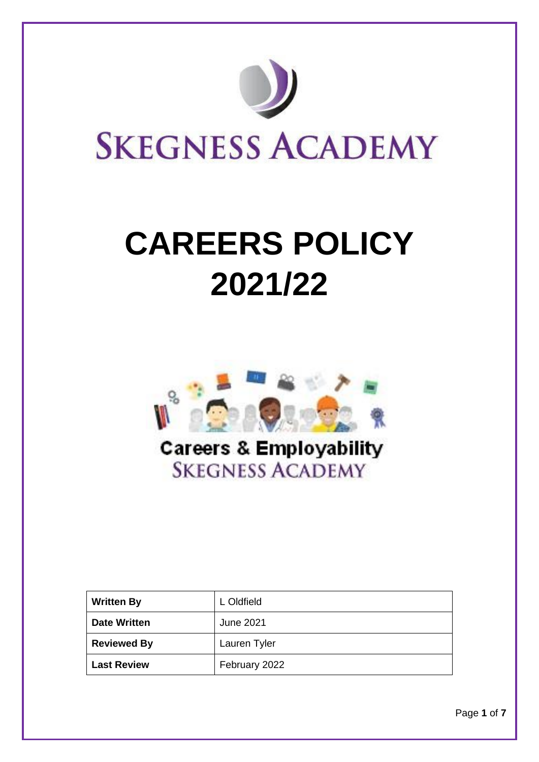

# **CAREERS POLICY 2021/22**



| <b>Written By</b>   | L Oldfield    |
|---------------------|---------------|
| <b>Date Written</b> | June 2021     |
| <b>Reviewed By</b>  | Lauren Tyler  |
| <b>Last Review</b>  | February 2022 |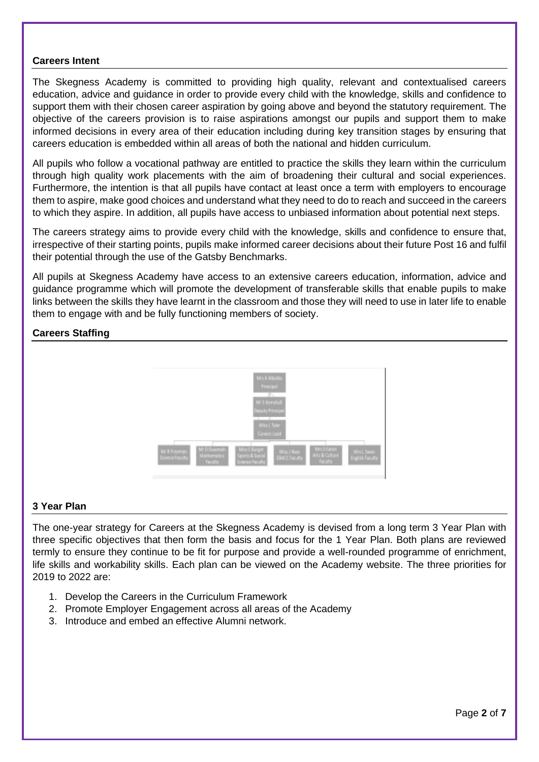#### **Careers Intent**

The Skegness Academy is committed to providing high quality, relevant and contextualised careers education, advice and guidance in order to provide every child with the knowledge, skills and confidence to support them with their chosen career aspiration by going above and beyond the statutory requirement. The objective of the careers provision is to raise aspirations amongst our pupils and support them to make informed decisions in every area of their education including during key transition stages by ensuring that careers education is embedded within all areas of both the national and hidden curriculum.

All pupils who follow a vocational pathway are entitled to practice the skills they learn within the curriculum through high quality work placements with the aim of broadening their cultural and social experiences. Furthermore, the intention is that all pupils have contact at least once a term with employers to encourage them to aspire, make good choices and understand what they need to do to reach and succeed in the careers to which they aspire. In addition, all pupils have access to unbiased information about potential next steps.

The careers strategy aims to provide every child with the knowledge, skills and confidence to ensure that, irrespective of their starting points, pupils make informed career decisions about their future Post 16 and fulfil their potential through the use of the Gatsby Benchmarks.

All pupils at Skegness Academy have access to an extensive careers education, information, advice and guidance programme which will promote the development of transferable skills that enable pupils to make links between the skills they have learnt in the classroom and those they will need to use in later life to enable them to engage with and be fully functioning members of society.

## **Careers Staffing**



## **3 Year Plan**

The one-year strategy for Careers at the Skegness Academy is devised from a long term 3 Year Plan with three specific objectives that then form the basis and focus for the 1 Year Plan. Both plans are reviewed termly to ensure they continue to be fit for purpose and provide a well-rounded programme of enrichment, life skills and workability skills. Each plan can be viewed on the Academy website. The three priorities for 2019 to 2022 are:

- 1. Develop the Careers in the Curriculum Framework
- 2. Promote Employer Engagement across all areas of the Academy
- 3. Introduce and embed an effective Alumni network.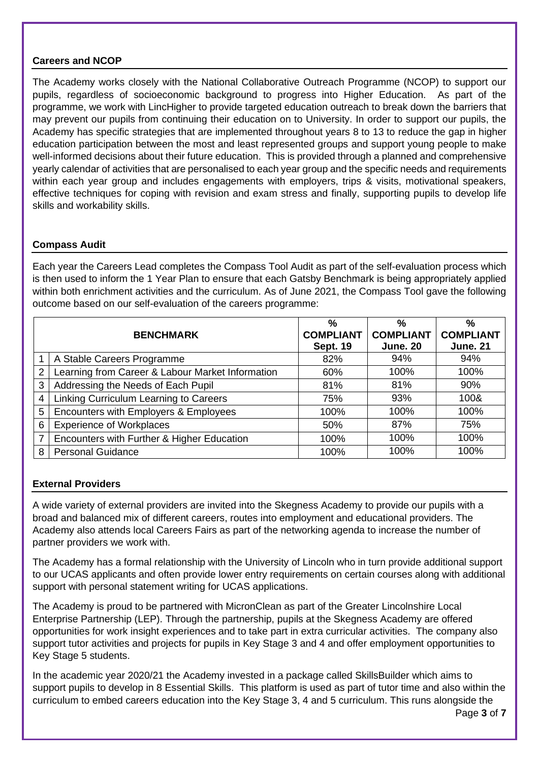## **Careers and NCOP**

The Academy works closely with the National Collaborative Outreach Programme (NCOP) to support our pupils, regardless of socioeconomic background to progress into Higher Education. As part of the programme, we work with LincHigher to provide targeted education outreach to break down the barriers that may prevent our pupils from continuing their education on to University. In order to support our pupils, the Academy has specific strategies that are implemented throughout years 8 to 13 to reduce the gap in higher education participation between the most and least represented groups and support young people to make well-informed decisions about their future education. This is provided through a planned and comprehensive yearly calendar of activities that are personalised to each year group and the specific needs and requirements within each year group and includes engagements with employers, trips & visits, motivational speakers, effective techniques for coping with revision and exam stress and finally, supporting pupils to develop life skills and workability skills.

## **Compass Audit**

Each year the Careers Lead completes the Compass Tool Audit as part of the self-evaluation process which is then used to inform the 1 Year Plan to ensure that each Gatsby Benchmark is being appropriately applied within both enrichment activities and the curriculum. As of June 2021, the Compass Tool gave the following outcome based on our self-evaluation of the careers programme:

| <b>BENCHMARK</b> |                                                  | $\frac{0}{0}$<br><b>COMPLIANT</b><br><b>Sept. 19</b> | $\%$<br><b>COMPLIANT</b><br><b>June. 20</b> | $\%$<br><b>COMPLIANT</b><br><b>June. 21</b> |
|------------------|--------------------------------------------------|------------------------------------------------------|---------------------------------------------|---------------------------------------------|
|                  | A Stable Careers Programme                       | 82%                                                  | 94%                                         | 94%                                         |
| 2                | Learning from Career & Labour Market Information | 60%                                                  | 100%                                        | 100%                                        |
| 3                | Addressing the Needs of Each Pupil               | 81%                                                  | 81%                                         | 90%                                         |
| 4                | Linking Curriculum Learning to Careers           | 75%                                                  | 93%                                         | 100&                                        |
| 5                | Encounters with Employers & Employees            | 100%                                                 | 100%                                        | 100%                                        |
| 6                | <b>Experience of Workplaces</b>                  | 50%                                                  | 87%                                         | 75%                                         |
| 7                | Encounters with Further & Higher Education       | 100%                                                 | 100%                                        | 100%                                        |
| 8                | <b>Personal Guidance</b>                         | 100%                                                 | 100%                                        | 100%                                        |

# **External Providers**

A wide variety of external providers are invited into the Skegness Academy to provide our pupils with a broad and balanced mix of different careers, routes into employment and educational providers. The Academy also attends local Careers Fairs as part of the networking agenda to increase the number of partner providers we work with.

The Academy has a formal relationship with the University of Lincoln who in turn provide additional support to our UCAS applicants and often provide lower entry requirements on certain courses along with additional support with personal statement writing for UCAS applications.

The Academy is proud to be partnered with MicronClean as part of the Greater Lincolnshire Local Enterprise Partnership (LEP). Through the partnership, pupils at the Skegness Academy are offered opportunities for work insight experiences and to take part in extra curricular activities. The company also support tutor activities and projects for pupils in Key Stage 3 and 4 and offer employment opportunities to Key Stage 5 students.

In the academic year 2020/21 the Academy invested in a package called SkillsBuilder which aims to support pupils to develop in 8 Essential Skills. This platform is used as part of tutor time and also within the curriculum to embed careers education into the Key Stage 3, 4 and 5 curriculum. This runs alongside the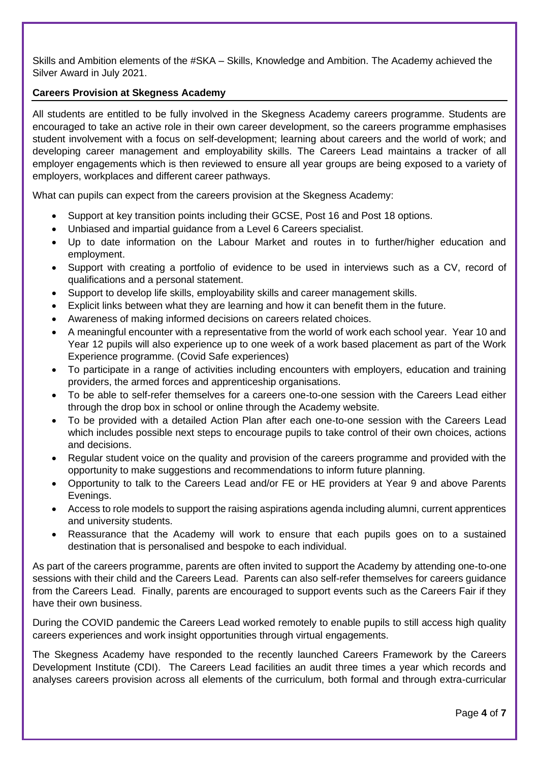Skills and Ambition elements of the #SKA – Skills, Knowledge and Ambition. The Academy achieved the Silver Award in July 2021.

## **Careers Provision at Skegness Academy**

All students are entitled to be fully involved in the Skegness Academy careers programme. Students are encouraged to take an active role in their own career development, so the careers programme emphasises student involvement with a focus on self-development; learning about careers and the world of work; and developing career management and employability skills. The Careers Lead maintains a tracker of all employer engagements which is then reviewed to ensure all year groups are being exposed to a variety of employers, workplaces and different career pathways.

What can pupils can expect from the careers provision at the Skegness Academy:

- Support at key transition points including their GCSE, Post 16 and Post 18 options.
- Unbiased and impartial guidance from a Level 6 Careers specialist.
- Up to date information on the Labour Market and routes in to further/higher education and employment.
- Support with creating a portfolio of evidence to be used in interviews such as a CV, record of qualifications and a personal statement.
- Support to develop life skills, employability skills and career management skills.
- Explicit links between what they are learning and how it can benefit them in the future.
- Awareness of making informed decisions on careers related choices.
- A meaningful encounter with a representative from the world of work each school year. Year 10 and Year 12 pupils will also experience up to one week of a work based placement as part of the Work Experience programme. (Covid Safe experiences)
- To participate in a range of activities including encounters with employers, education and training providers, the armed forces and apprenticeship organisations.
- To be able to self-refer themselves for a careers one-to-one session with the Careers Lead either through the drop box in school or online through the Academy website.
- To be provided with a detailed Action Plan after each one-to-one session with the Careers Lead which includes possible next steps to encourage pupils to take control of their own choices, actions and decisions.
- Regular student voice on the quality and provision of the careers programme and provided with the opportunity to make suggestions and recommendations to inform future planning.
- Opportunity to talk to the Careers Lead and/or FE or HE providers at Year 9 and above Parents Evenings.
- Access to role models to support the raising aspirations agenda including alumni, current apprentices and university students.
- Reassurance that the Academy will work to ensure that each pupils goes on to a sustained destination that is personalised and bespoke to each individual.

As part of the careers programme, parents are often invited to support the Academy by attending one-to-one sessions with their child and the Careers Lead. Parents can also self-refer themselves for careers guidance from the Careers Lead. Finally, parents are encouraged to support events such as the Careers Fair if they have their own business.

During the COVID pandemic the Careers Lead worked remotely to enable pupils to still access high quality careers experiences and work insight opportunities through virtual engagements.

The Skegness Academy have responded to the recently launched Careers Framework by the Careers Development Institute (CDI). The Careers Lead facilities an audit three times a year which records and analyses careers provision across all elements of the curriculum, both formal and through extra-curricular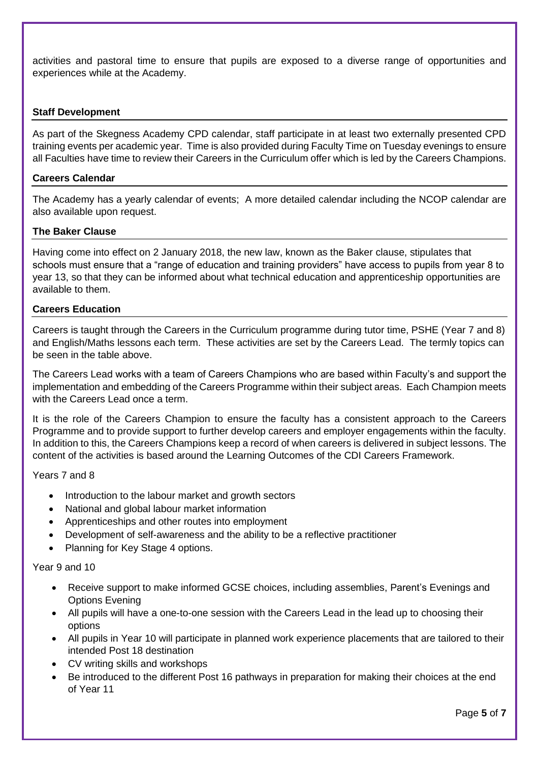activities and pastoral time to ensure that pupils are exposed to a diverse range of opportunities and experiences while at the Academy.

## **Staff Development**

As part of the Skegness Academy CPD calendar, staff participate in at least two externally presented CPD training events per academic year. Time is also provided during Faculty Time on Tuesday evenings to ensure all Faculties have time to review their Careers in the Curriculum offer which is led by the Careers Champions.

## **Careers Calendar**

The Academy has a yearly calendar of events; A more detailed calendar including the NCOP calendar are also available upon request.

## **The Baker Clause**

Having come into effect on 2 January 2018, the new law, known as the Baker clause, stipulates that schools must ensure that a "range of education and training providers" have access to pupils from year 8 to year 13, so that they can be informed about what technical education and apprenticeship opportunities are available to them.

#### **Careers Education**

Careers is taught through the Careers in the Curriculum programme during tutor time, PSHE (Year 7 and 8) and English/Maths lessons each term. These activities are set by the Careers Lead. The termly topics can be seen in the table above.

The Careers Lead works with a team of Careers Champions who are based within Faculty's and support the implementation and embedding of the Careers Programme within their subject areas. Each Champion meets with the Careers Lead once a term.

It is the role of the Careers Champion to ensure the faculty has a consistent approach to the Careers Programme and to provide support to further develop careers and employer engagements within the faculty. In addition to this, the Careers Champions keep a record of when careers is delivered in subject lessons. The content of the activities is based around the Learning Outcomes of the CDI Careers Framework.

Years 7 and 8

- Introduction to the labour market and growth sectors
- National and global labour market information
- Apprenticeships and other routes into employment
- Development of self-awareness and the ability to be a reflective practitioner
- Planning for Key Stage 4 options.

#### Year 9 and 10

- Receive support to make informed GCSE choices, including assemblies, Parent's Evenings and Options Evening
- All pupils will have a one-to-one session with the Careers Lead in the lead up to choosing their options
- All pupils in Year 10 will participate in planned work experience placements that are tailored to their intended Post 18 destination
- CV writing skills and workshops
- Be introduced to the different Post 16 pathways in preparation for making their choices at the end of Year 11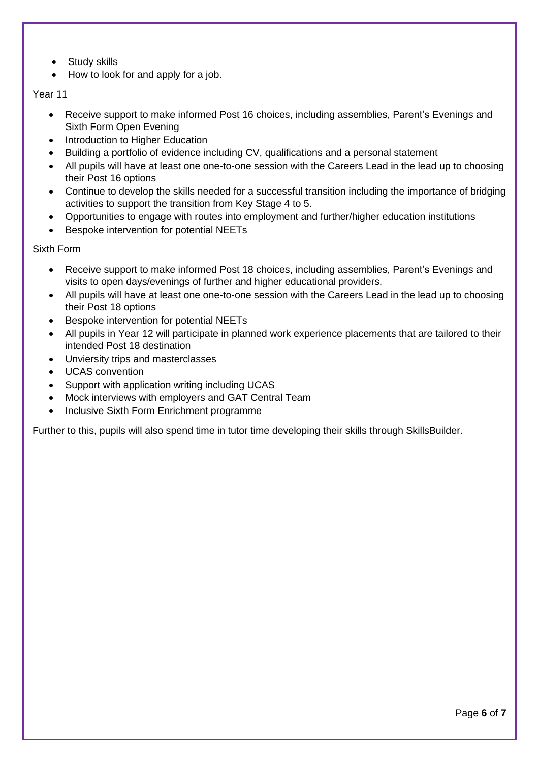- **Study skills**
- How to look for and apply for a job.

## Year 11

- Receive support to make informed Post 16 choices, including assemblies, Parent's Evenings and Sixth Form Open Evening
- Introduction to Higher Education
- Building a portfolio of evidence including CV, qualifications and a personal statement
- All pupils will have at least one one-to-one session with the Careers Lead in the lead up to choosing their Post 16 options
- Continue to develop the skills needed for a successful transition including the importance of bridging activities to support the transition from Key Stage 4 to 5.
- Opportunities to engage with routes into employment and further/higher education institutions
- Bespoke intervention for potential NEETs

Sixth Form

- Receive support to make informed Post 18 choices, including assemblies, Parent's Evenings and visits to open days/evenings of further and higher educational providers.
- All pupils will have at least one one-to-one session with the Careers Lead in the lead up to choosing their Post 18 options
- Bespoke intervention for potential NEETs
- All pupils in Year 12 will participate in planned work experience placements that are tailored to their intended Post 18 destination
- Unviersity trips and masterclasses
- UCAS convention
- Support with application writing including UCAS
- Mock interviews with employers and GAT Central Team
- Inclusive Sixth Form Enrichment programme

Further to this, pupils will also spend time in tutor time developing their skills through SkillsBuilder.